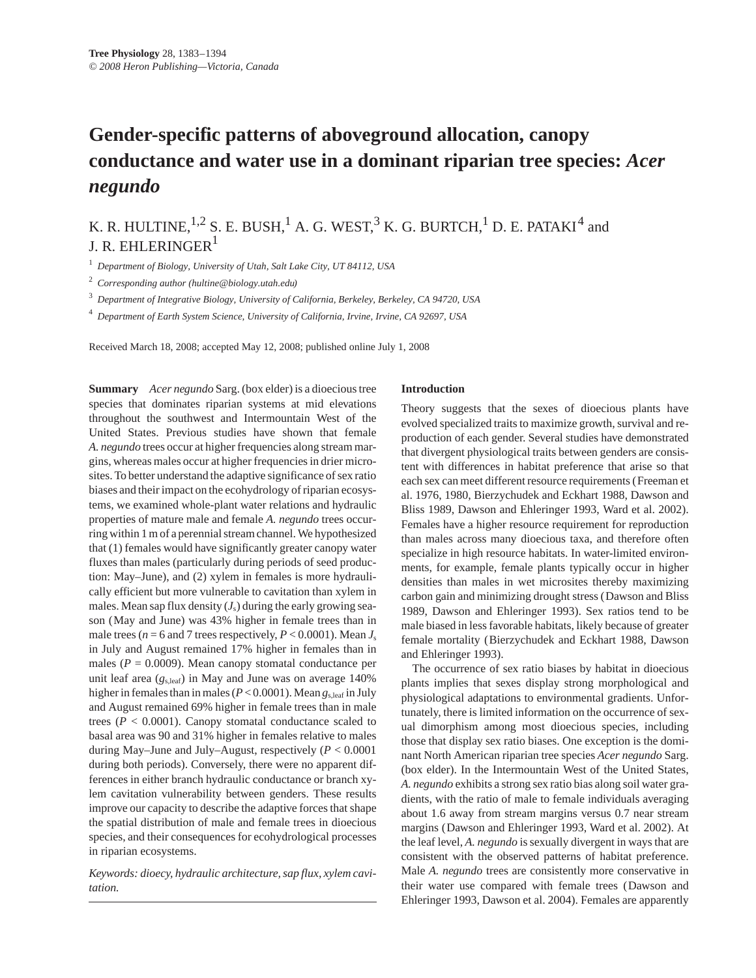# **Gender-specific patterns of aboveground allocation, canopy conductance and water use in a dominant riparian tree species:** *Acer negundo*

K. R. HULTINE,  $^{1,2}$  S. E. BUSH,  $^{1}$  A. G. WEST,  $^{3}$  K. G. BURTCH,  $^{1}$  D. E. PATAKI<sup>4</sup> and J. R. EHLERINGER<sup>1</sup>

<sup>1</sup> *Department of Biology, University of Utah, Salt Lake City, UT 84112, USA*

<sup>2</sup> *Corresponding author (hultine@biology.utah.edu)*

<sup>3</sup> *Department of Integrative Biology, University of California, Berkeley, Berkeley, CA 94720, USA*

<sup>4</sup> *Department of Earth System Science, University of California, Irvine, Irvine, CA 92697, USA*

Received March 18, 2008; accepted May 12, 2008; published online July 1, 2008

**Summary** *Acer negundo* Sarg. (box elder) is a dioecious tree species that dominates riparian systems at mid elevations throughout the southwest and Intermountain West of the United States. Previous studies have shown that female *A. negundo* trees occur at higher frequencies along stream margins, whereas males occur at higher frequencies in drier microsites. To better understand the adaptive significance of sex ratio biases and their impact on the ecohydrology of riparian ecosystems, we examined whole-plant water relations and hydraulic properties of mature male and female *A. negundo* trees occurring within 1 m of a perennial stream channel. We hypothesized that (1) females would have significantly greater canopy water fluxes than males (particularly during periods of seed production: May–June), and (2) xylem in females is more hydraulically efficient but more vulnerable to cavitation than xylem in males. Mean sap flux density  $(J<sub>s</sub>)$  during the early growing season (May and June) was 43% higher in female trees than in male trees ( $n = 6$  and 7 trees respectively,  $P < 0.0001$ ). Mean  $J_s$ in July and August remained 17% higher in females than in males ( $P = 0.0009$ ). Mean canopy stomatal conductance per unit leaf area ( $g_{s,leaf}$ ) in May and June was on average 140% higher in females than in males (*P* < 0.0001). Mean *g*s,leaf in July and August remained 69% higher in female trees than in male trees  $(P < 0.0001)$ . Canopy stomatal conductance scaled to basal area was 90 and 31% higher in females relative to males during May–June and July–August, respectively (*P* < 0.0001 during both periods). Conversely, there were no apparent differences in either branch hydraulic conductance or branch xylem cavitation vulnerability between genders. These results improve our capacity to describe the adaptive forces that shape the spatial distribution of male and female trees in dioecious species, and their consequences for ecohydrological processes in riparian ecosystems.

*Keywords: dioecy, hydraulic architecture, sap flux, xylem cavitation.*

# **Introduction**

Theory suggests that the sexes of dioecious plants have evolved specialized traits to maximize growth, survival and reproduction of each gender. Several studies have demonstrated that divergent physiological traits between genders are consistent with differences in habitat preference that arise so that each sex can meet different resource requirements (Freeman et al. 1976, 1980, Bierzychudek and Eckhart 1988, Dawson and Bliss 1989, Dawson and Ehleringer 1993, Ward et al. 2002). Females have a higher resource requirement for reproduction than males across many dioecious taxa, and therefore often specialize in high resource habitats. In water-limited environments, for example, female plants typically occur in higher densities than males in wet microsites thereby maximizing carbon gain and minimizing drought stress (Dawson and Bliss 1989, Dawson and Ehleringer 1993). Sex ratios tend to be male biased in less favorable habitats, likely because of greater female mortality (Bierzychudek and Eckhart 1988, Dawson and Ehleringer 1993).

The occurrence of sex ratio biases by habitat in dioecious plants implies that sexes display strong morphological and physiological adaptations to environmental gradients. Unfortunately, there is limited information on the occurrence of sexual dimorphism among most dioecious species, including those that display sex ratio biases. One exception is the dominant North American riparian tree species *Acer negundo* Sarg. (box elder). In the Intermountain West of the United States, *A. negundo* exhibits a strong sex ratio bias along soil water gradients, with the ratio of male to female individuals averaging about 1.6 away from stream margins versus 0.7 near stream margins (Dawson and Ehleringer 1993, Ward et al. 2002). At the leaf level, *A. negundo* is sexually divergent in ways that are consistent with the observed patterns of habitat preference. Male *A. negundo* trees are consistently more conservative in their water use compared with female trees (Dawson and Ehleringer 1993, Dawson et al. 2004). Females are apparently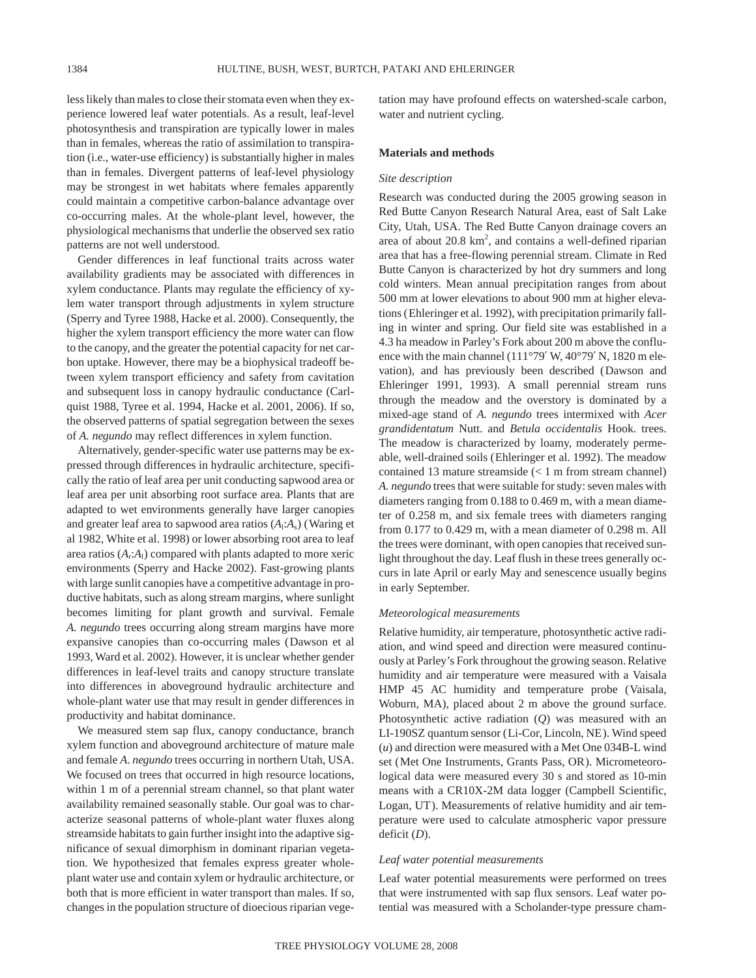less likely than males to close their stomata even when they experience lowered leaf water potentials. As a result, leaf-level photosynthesis and transpiration are typically lower in males than in females, whereas the ratio of assimilation to transpiration (i.e., water-use efficiency) is substantially higher in males than in females. Divergent patterns of leaf-level physiology may be strongest in wet habitats where females apparently could maintain a competitive carbon-balance advantage over co-occurring males. At the whole-plant level, however, the physiological mechanisms that underlie the observed sex ratio patterns are not well understood.

Gender differences in leaf functional traits across water availability gradients may be associated with differences in xylem conductance. Plants may regulate the efficiency of xylem water transport through adjustments in xylem structure (Sperry and Tyree 1988, Hacke et al. 2000). Consequently, the higher the xylem transport efficiency the more water can flow to the canopy, and the greater the potential capacity for net carbon uptake. However, there may be a biophysical tradeoff between xylem transport efficiency and safety from cavitation and subsequent loss in canopy hydraulic conductance (Carlquist 1988, Tyree et al. 1994, Hacke et al. 2001, 2006). If so, the observed patterns of spatial segregation between the sexes of *A. negundo* may reflect differences in xylem function.

Alternatively, gender-specific water use patterns may be expressed through differences in hydraulic architecture, specifically the ratio of leaf area per unit conducting sapwood area or leaf area per unit absorbing root surface area. Plants that are adapted to wet environments generally have larger canopies and greater leaf area to sapwood area ratios  $(A_1:A_s)$  (Waring et al 1982, White et al. 1998) or lower absorbing root area to leaf area ratios  $(A_r:A_l)$  compared with plants adapted to more xeric environments (Sperry and Hacke 2002). Fast-growing plants with large sunlit canopies have a competitive advantage in productive habitats, such as along stream margins, where sunlight becomes limiting for plant growth and survival. Female *A. negundo* trees occurring along stream margins have more expansive canopies than co-occurring males (Dawson et al 1993, Ward et al. 2002). However, it is unclear whether gender differences in leaf-level traits and canopy structure translate into differences in aboveground hydraulic architecture and whole-plant water use that may result in gender differences in productivity and habitat dominance.

We measured stem sap flux, canopy conductance, branch xylem function and aboveground architecture of mature male and female *A*. *negundo* trees occurring in northern Utah, USA. We focused on trees that occurred in high resource locations, within 1 m of a perennial stream channel, so that plant water availability remained seasonally stable. Our goal was to characterize seasonal patterns of whole-plant water fluxes along streamside habitats to gain further insight into the adaptive significance of sexual dimorphism in dominant riparian vegetation. We hypothesized that females express greater wholeplant water use and contain xylem or hydraulic architecture, or both that is more efficient in water transport than males. If so, changes in the population structure of dioecious riparian vegetation may have profound effects on watershed-scale carbon, water and nutrient cycling.

#### **Materials and methods**

#### *Site description*

Research was conducted during the 2005 growing season in Red Butte Canyon Research Natural Area, east of Salt Lake City, Utah, USA. The Red Butte Canyon drainage covers an area of about 20.8 km<sup>2</sup>, and contains a well-defined riparian area that has a free-flowing perennial stream. Climate in Red Butte Canyon is characterized by hot dry summers and long cold winters. Mean annual precipitation ranges from about 500 mm at lower elevations to about 900 mm at higher elevations (Ehleringer et al. 1992), with precipitation primarily falling in winter and spring. Our field site was established in a 4.3 ha meadow in Parley's Fork about 200 m above the confluence with the main channel (111°79′ W, 40°79′ N, 1820 m elevation), and has previously been described (Dawson and Ehleringer 1991, 1993). A small perennial stream runs through the meadow and the overstory is dominated by a mixed-age stand of *A. negundo* trees intermixed with *Acer grandidentatum* Nutt. and *Betula occidentalis* Hook. trees. The meadow is characterized by loamy, moderately permeable, well-drained soils (Ehleringer et al. 1992). The meadow contained 13 mature streamside (< 1 m from stream channel) *A. negundo* trees that were suitable for study: seven males with diameters ranging from 0.188 to 0.469 m, with a mean diameter of 0.258 m, and six female trees with diameters ranging from 0.177 to 0.429 m, with a mean diameter of 0.298 m. All the trees were dominant, with open canopies that received sunlight throughout the day. Leaf flush in these trees generally occurs in late April or early May and senescence usually begins in early September.

# *Meteorological measurements*

Relative humidity, air temperature, photosynthetic active radiation, and wind speed and direction were measured continuously at Parley's Fork throughout the growing season. Relative humidity and air temperature were measured with a Vaisala HMP 45 AC humidity and temperature probe (Vaisala, Woburn, MA), placed about 2 m above the ground surface. Photosynthetic active radiation (*Q*) was measured with an LI-190SZ quantum sensor (Li-Cor, Lincoln, NE). Wind speed (*u*) and direction were measured with a Met One 034B-L wind set (Met One Instruments, Grants Pass, OR). Micrometeorological data were measured every 30 s and stored as 10-min means with a CR10X-2M data logger (Campbell Scientific, Logan, UT). Measurements of relative humidity and air temperature were used to calculate atmospheric vapor pressure deficit (*D*).

#### *Leaf water potential measurements*

Leaf water potential measurements were performed on trees that were instrumented with sap flux sensors. Leaf water potential was measured with a Scholander-type pressure cham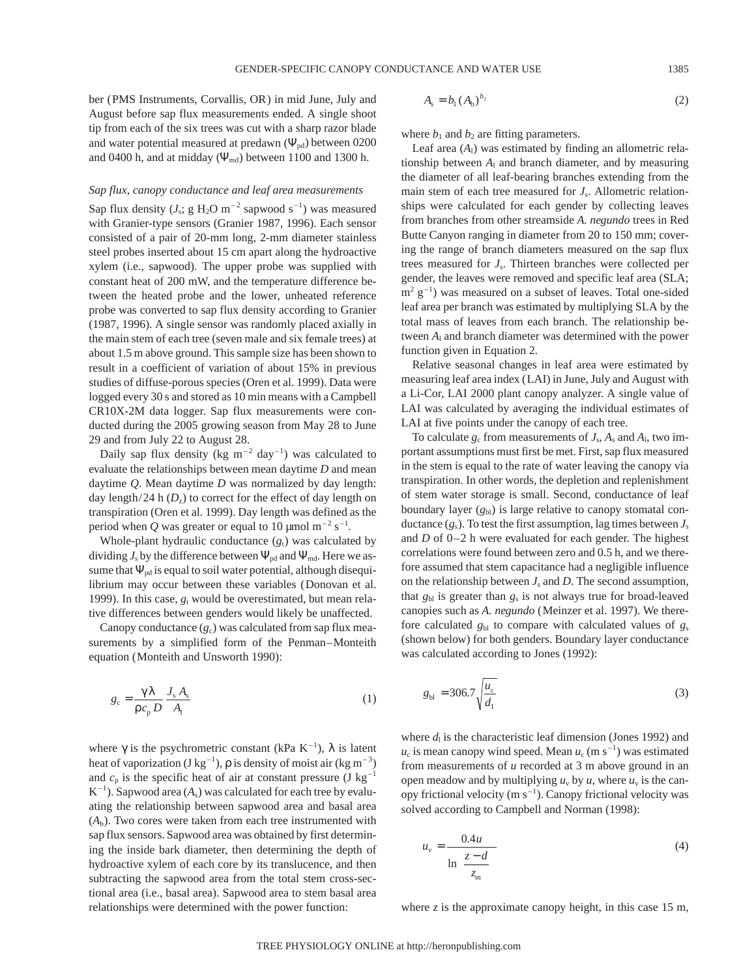ber (PMS Instruments, Corvallis, OR) in mid June, July and August before sap flux measurements ended. A single shoot tip from each of the six trees was cut with a sharp razor blade and water potential measured at predawn  $(\Psi_{pd})$  between 0200 and 0400 h, and at midday  $(\Psi_{\text{md}})$  between 1100 and 1300 h.

# *Sap flux, canopy conductance and leaf area measurements*

Sap flux density  $(J_s; g H_2O m^{-2}$  sapwood s<sup>-1</sup>) was measured with Granier-type sensors (Granier 1987, 1996). Each sensor consisted of a pair of 20-mm long, 2-mm diameter stainless steel probes inserted about 15 cm apart along the hydroactive xylem (i.e., sapwood). The upper probe was supplied with constant heat of 200 mW, and the temperature difference between the heated probe and the lower, unheated reference probe was converted to sap flux density according to Granier (1987, 1996). A single sensor was randomly placed axially in the main stem of each tree (seven male and six female trees) at about 1.5 m above ground. This sample size has been shown to result in a coefficient of variation of about 15% in previous studies of diffuse-porous species (Oren et al. 1999). Data were logged every 30 s and stored as 10 min means with a Campbell CR10X-2M data logger. Sap flux measurements were conducted during the 2005 growing season from May 28 to June 29 and from July 22 to August 28.

Daily sap flux density (kg  $m^{-2}$  day<sup>-1</sup>) was calculated to evaluate the relationships between mean daytime *D* and mean daytime *Q*. Mean daytime *D* was normalized by day length: day length/24 h  $(D_7)$  to correct for the effect of day length on transpiration (Oren et al. 1999). Day length was defined as the period when Q was greater or equal to 10  $\mu$ mol m<sup>-2</sup> s<sup>-1</sup>.

Whole-plant hydraulic conductance  $(g_t)$  was calculated by dividing  $J_s$  by the difference between  $\Psi_{pd}$  and  $\Psi_{md}$ . Here we assume that  $\Psi_{pd}$  is equal to soil water potential, although disequilibrium may occur between these variables (Donovan et al. 1999). In this case,  $g_t$  would be overestimated, but mean relative differences between genders would likely be unaffected.

Canopy conductance  $(g_c)$  was calculated from sap flux measurements by a simplified form of the Penman–Monteith equation (Monteith and Unsworth 1990):

$$
g_{\rm c} = \frac{\gamma \lambda}{\rho c_{\rm p} D} \frac{J_{\rm s} A_{\rm s}}{A_{\rm l}} \tag{1}
$$

where  $\gamma$  is the psychrometric constant (kPa K<sup>-1</sup>),  $\lambda$  is latent heat of vaporization (J kg<sup>-1</sup>),  $\rho$  is density of moist air (kg m<sup>-3</sup>) and  $c_p$  is the specific heat of air at constant pressure (J kg<sup>-1</sup>)  $K^{-1}$ ). Sapwood area  $(A_s)$  was calculated for each tree by evaluating the relationship between sapwood area and basal area  $(A<sub>b</sub>)$ . Two cores were taken from each tree instrumented with sap flux sensors. Sapwood area was obtained by first determining the inside bark diameter, then determining the depth of hydroactive xylem of each core by its translucence, and then subtracting the sapwood area from the total stem cross-sectional area (i.e., basal area). Sapwood area to stem basal area relationships were determined with the power function:

$$
A_{s} = b_{1} (A_{b})^{b_{2}}
$$
 (2)

where  $b_1$  and  $b_2$  are fitting parameters.

Leaf area  $(A<sub>1</sub>)$  was estimated by finding an allometric relationship between *A*<sup>l</sup> and branch diameter, and by measuring the diameter of all leaf-bearing branches extending from the main stem of each tree measured for  $J_s$ . Allometric relationships were calculated for each gender by collecting leaves from branches from other streamside *A. negundo* trees in Red Butte Canyon ranging in diameter from 20 to 150 mm; covering the range of branch diameters measured on the sap flux trees measured for *J*s. Thirteen branches were collected per gender, the leaves were removed and specific leaf area (SLA;  $m^2$  g<sup>-1</sup>) was measured on a subset of leaves. Total one-sided leaf area per branch was estimated by multiplying SLA by the total mass of leaves from each branch. The relationship between *A*<sup>l</sup> and branch diameter was determined with the power function given in Equation 2.

Relative seasonal changes in leaf area were estimated by measuring leaf area index (LAI) in June, July and August with a Li-Cor, LAI 2000 plant canopy analyzer. A single value of LAI was calculated by averaging the individual estimates of LAI at five points under the canopy of each tree.

To calculate  $g_c$  from measurements of  $J_s$ ,  $A_s$  and  $A_l$ , two important assumptions must first be met. First, sap flux measured in the stem is equal to the rate of water leaving the canopy via transpiration. In other words, the depletion and replenishment of stem water storage is small. Second, conductance of leaf boundary layer  $(g_{bl})$  is large relative to canopy stomatal conductance  $(g_s)$ . To test the first assumption, lag times between  $J_s$ and *D* of 0–2 h were evaluated for each gender. The highest correlations were found between zero and 0.5 h, and we therefore assumed that stem capacitance had a negligible influence on the relationship between *J*<sup>s</sup> and *D*. The second assumption, that  $g_{bl}$  is greater than  $g_s$  is not always true for broad-leaved canopies such as *A. negundo* (Meinzer et al. 1997). We therefore calculated  $g_{bl}$  to compare with calculated values of  $g_s$ (shown below) for both genders. Boundary layer conductance was calculated according to Jones (1992):

$$
g_{bl} = 306.7 \sqrt{\frac{u_c}{d_1}}
$$
 (3)

where  $d_1$  is the characteristic leaf dimension (Jones 1992) and  $u_c$  is mean canopy wind speed. Mean  $u_c$  (m s<sup>-1</sup>) was estimated from measurements of *u* recorded at 3 m above ground in an open meadow and by multiplying  $u_v$  by  $u$ , where  $u_v$  is the canopy frictional velocity (m  $s^{-1}$ ). Canopy frictional velocity was solved according to Campbell and Norman (1998):

$$
u_{\rm v} = \frac{0.4u}{\ln\left(\frac{z-d}{z_{\rm m}}\right)}\tag{4}
$$

where *z* is the approximate canopy height, in this case 15 m,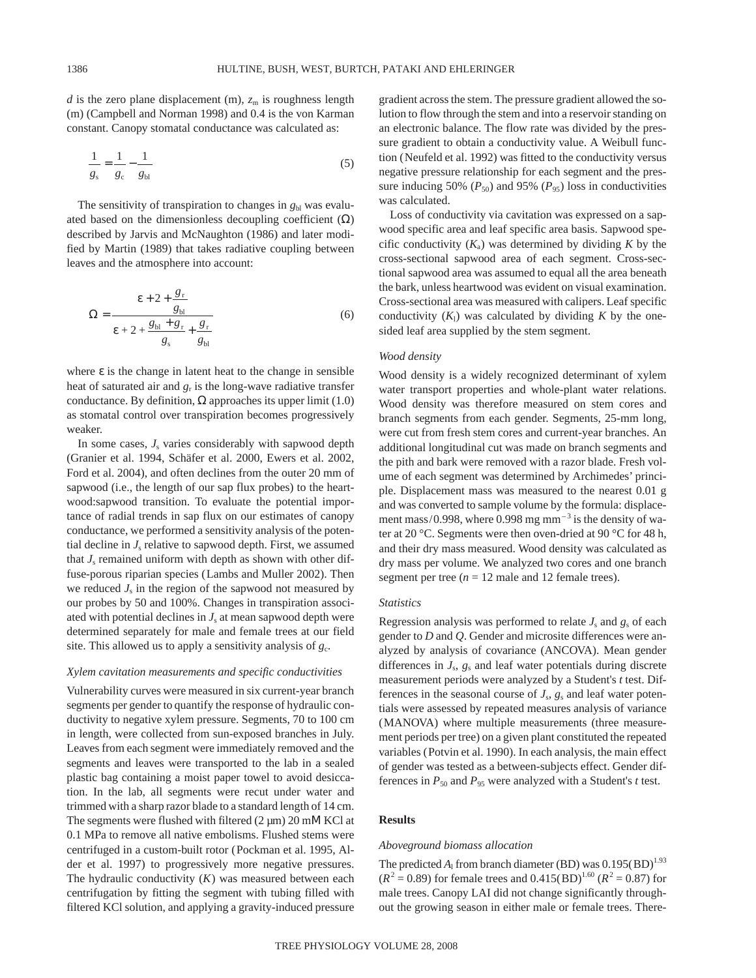*d* is the zero plane displacement (m),  $z<sub>m</sub>$  is roughness length (m) (Campbell and Norman 1998) and 0.4 is the von Karman constant. Canopy stomatal conductance was calculated as:

$$
\frac{1}{g_s} = \frac{1}{g_c} - \frac{1}{g_{bl}}
$$
 (5)

The sensitivity of transpiration to changes in  $g<sub>bl</sub>$  was evaluated based on the dimensionless decoupling coefficient  $(\Omega)$ described by Jarvis and McNaughton (1986) and later modified by Martin (1989) that takes radiative coupling between leaves and the atmosphere into account:

$$
\Omega = \frac{\varepsilon + 2 + \frac{g_r}{g_{bl}}}{\varepsilon + 2 + \frac{g_{bl} + g_r}{g_s} + \frac{g_r}{g_{bl}}}
$$
(6)

where  $\varepsilon$  is the change in latent heat to the change in sensible heat of saturated air and  $g_r$  is the long-wave radiative transfer conductance. By definition,  $\Omega$  approaches its upper limit (1.0) as stomatal control over transpiration becomes progressively weaker.

In some cases,  $J_s$  varies considerably with sapwood depth (Granier et al. 1994, Schäfer et al. 2000, Ewers et al. 2002, Ford et al. 2004), and often declines from the outer 20 mm of sapwood (i.e., the length of our sap flux probes) to the heartwood:sapwood transition. To evaluate the potential importance of radial trends in sap flux on our estimates of canopy conductance, we performed a sensitivity analysis of the potential decline in  $J_s$  relative to sapwood depth. First, we assumed that  $J_s$  remained uniform with depth as shown with other diffuse-porous riparian species (Lambs and Muller 2002). Then we reduced  $J_s$  in the region of the sapwood not measured by our probes by 50 and 100%. Changes in transpiration associated with potential declines in  $J<sub>s</sub>$  at mean sapwood depth were determined separately for male and female trees at our field site. This allowed us to apply a sensitivity analysis of *g*c.

## *Xylem cavitation measurements and specific conductivities*

Vulnerability curves were measured in six current-year branch segments per gender to quantify the response of hydraulic conductivity to negative xylem pressure. Segments, 70 to 100 cm in length, were collected from sun-exposed branches in July. Leaves from each segment were immediately removed and the segments and leaves were transported to the lab in a sealed plastic bag containing a moist paper towel to avoid desiccation. In the lab, all segments were recut under water and trimmed with a sharp razor blade to a standard length of 14 cm. The segments were flushed with filtered  $(2 \mu m) 20$  mM KCl at 0.1 MPa to remove all native embolisms. Flushed stems were centrifuged in a custom-built rotor (Pockman et al. 1995, Alder et al. 1997) to progressively more negative pressures. The hydraulic conductivity (*K*) was measured between each centrifugation by fitting the segment with tubing filled with filtered KCl solution, and applying a gravity-induced pressure gradient across the stem. The pressure gradient allowed the solution to flow through the stem and into a reservoir standing on an electronic balance. The flow rate was divided by the pressure gradient to obtain a conductivity value. A Weibull function (Neufeld et al. 1992) was fitted to the conductivity versus negative pressure relationship for each segment and the pressure inducing 50%  $(P_{50})$  and 95%  $(P_{95})$  loss in conductivities was calculated.

Loss of conductivity via cavitation was expressed on a sapwood specific area and leaf specific area basis. Sapwood specific conductivity  $(K_a)$  was determined by dividing *K* by the cross-sectional sapwood area of each segment. Cross-sectional sapwood area was assumed to equal all the area beneath the bark, unless heartwood was evident on visual examination. Cross-sectional area was measured with calipers. Leaf specific conductivity  $(K_1)$  was calculated by dividing  $K$  by the onesided leaf area supplied by the stem segment.

## *Wood density*

Wood density is a widely recognized determinant of xylem water transport properties and whole-plant water relations. Wood density was therefore measured on stem cores and branch segments from each gender. Segments, 25-mm long, were cut from fresh stem cores and current-year branches. An additional longitudinal cut was made on branch segments and the pith and bark were removed with a razor blade. Fresh volume of each segment was determined by Archimedes' principle. Displacement mass was measured to the nearest 0.01 g and was converted to sample volume by the formula: displacement mass/0.998, where 0.998 mg mm<sup> $-3$ </sup> is the density of water at 20 °C. Segments were then oven-dried at 90 °C for 48 h, and their dry mass measured. Wood density was calculated as dry mass per volume. We analyzed two cores and one branch segment per tree  $(n = 12 \text{ male and } 12 \text{ female trees}).$ 

# *Statistics*

Regression analysis was performed to relate  $J_s$  and  $g_s$  of each gender to *D* and *Q*. Gender and microsite differences were analyzed by analysis of covariance (ANCOVA). Mean gender differences in *J*s, *g*<sup>s</sup> and leaf water potentials during discrete measurement periods were analyzed by a Student's *t* test. Differences in the seasonal course of  $J_s$ ,  $g_s$  and leaf water potentials were assessed by repeated measures analysis of variance (MANOVA) where multiple measurements (three measurement periods per tree) on a given plant constituted the repeated variables (Potvin et al. 1990). In each analysis, the main effect of gender was tested as a between-subjects effect. Gender differences in  $P_{50}$  and  $P_{95}$  were analyzed with a Student's *t* test.

## **Results**

#### *Aboveground biomass allocation*

The predicted  $A_1$  from branch diameter (BD) was  $0.195(BD)^{1.93}$  $(R^{2} = 0.89)$  for female trees and  $(0.415(BD)^{1.60} (R^{2} = 0.87)$  for male trees. Canopy LAI did not change significantly throughout the growing season in either male or female trees. There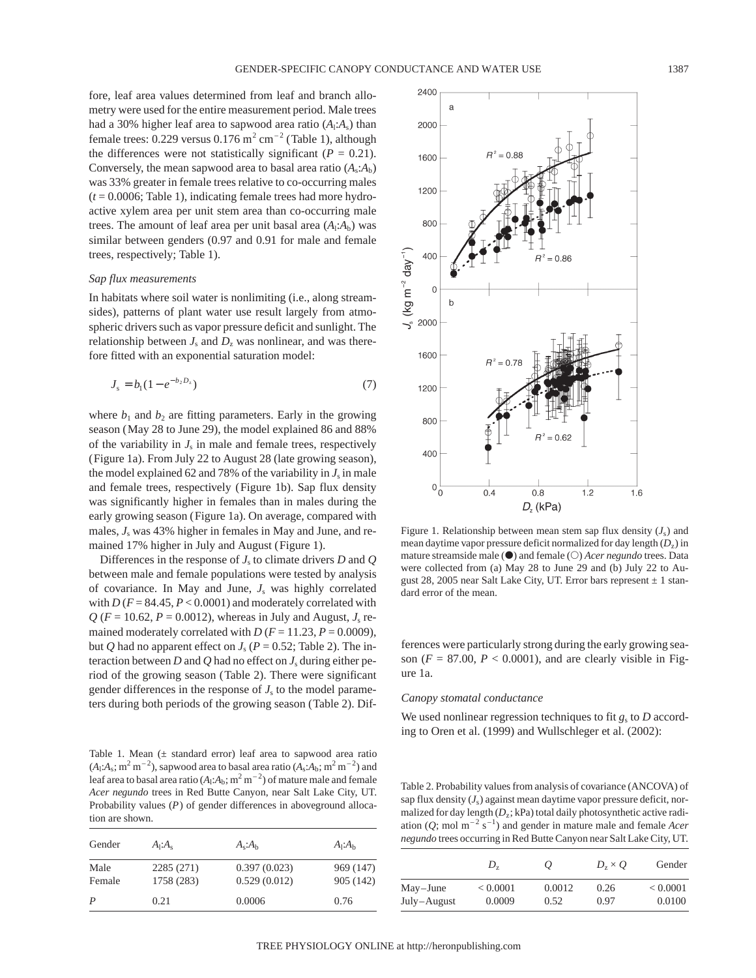fore, leaf area values determined from leaf and branch allometry were used for the entire measurement period. Male trees had a 30% higher leaf area to sapwood area ratio  $(A_1A_s)$  than female trees: 0.229 versus  $0.176$  m<sup>2</sup> cm<sup>-2</sup> (Table 1), although the differences were not statistically significant  $(P = 0.21)$ . Conversely, the mean sapwood area to basal area ratio  $(A_s:A_b)$ was 33% greater in female trees relative to co-occurring males (*t* = 0.0006; Table 1), indicating female trees had more hydroactive xylem area per unit stem area than co-occurring male trees. The amount of leaf area per unit basal area  $(A_1: A_b)$  was similar between genders (0.97 and 0.91 for male and female trees, respectively; Table 1).

#### *Sap flux measurements*

In habitats where soil water is nonlimiting (i.e., along streamsides), patterns of plant water use result largely from atmospheric drivers such as vapor pressure deficit and sunlight. The relationship between  $J_s$  and  $D_z$  was nonlinear, and was therefore fitted with an exponential saturation model:

$$
J_s = b_1 (1 - e^{-b_2 D_z})
$$
\n(7)

where  $b_1$  and  $b_2$  are fitting parameters. Early in the growing season (May 28 to June 29), the model explained 86 and 88% of the variability in  $J_s$  in male and female trees, respectively (Figure 1a). From July 22 to August 28 (late growing season), the model explained 62 and 78% of the variability in  $J_s$  in male and female trees, respectively (Figure 1b). Sap flux density was significantly higher in females than in males during the early growing season (Figure 1a). On average, compared with males,  $J<sub>s</sub>$  was 43% higher in females in May and June, and remained 17% higher in July and August (Figure 1).

Differences in the response of  $J<sub>s</sub>$  to climate drivers *D* and *Q* between male and female populations were tested by analysis of covariance. In May and June, *J*<sup>s</sup> was highly correlated with  $D(F = 84.45, P < 0.0001)$  and moderately correlated with  $Q$  ( $F = 10.62$ ,  $P = 0.0012$ ), whereas in July and August,  $J_s$  remained moderately correlated with  $D(F = 11.23, P = 0.0009)$ , but *Q* had no apparent effect on  $J_s$  ( $P = 0.52$ ; Table 2). The interaction between *D* and *Q* had no effect on  $J_s$  during either period of the growing season (Table 2). There were significant gender differences in the response of  $J<sub>s</sub>$  to the model parameters during both periods of the growing season (Table 2). Dif-

Table 1. Mean  $(±$  standard error) leaf area to sapwood area ratio  $(A_1:A_s; m^2m^{-2})$ , sapwood area to basal area ratio  $(A_s:A_b; m^2m^{-2})$  and leaf area to basal area ratio  $(A_1:A_b; m^2m^{-2})$  of mature male and female *Acer negundo* trees in Red Butte Canyon, near Salt Lake City, UT. Probability values (*P*) of gender differences in aboveground allocation are shown.

| Gender         | A <sub>1</sub> :A <sub>s</sub> | $A_s:A_h$                    | $A_1: A_h$             |  |  |
|----------------|--------------------------------|------------------------------|------------------------|--|--|
| Male<br>Female | 2285 (271)<br>1758 (283)       | 0.397(0.023)<br>0.529(0.012) | 969 (147)<br>905 (142) |  |  |
| P              | 0.21                           | 0.0006                       | 0.76                   |  |  |



Figure 1. Relationship between mean stem sap flux density  $(J_s)$  and mean daytime vapor pressure deficit normalized for day length (*D*z) in mature streamside male ( $\bullet$ ) and female ( $\circ$ ) *Acer negundo* trees. Data were collected from (a) May 28 to June 29 and (b) July 22 to August 28, 2005 near Salt Lake City, UT. Error bars represent  $\pm 1$  standard error of the mean.

ferences were particularly strong during the early growing season  $(F = 87.00, P < 0.0001)$ , and are clearly visible in Figure 1a.

# *Canopy stomatal conductance*

We used nonlinear regression techniques to fit  $g_s$  to *D* according to Oren et al. (1999) and Wullschleger et al. (2002):

Table 2. Probability values from analysis of covariance (ANCOVA) of sap flux density  $(J_s)$  against mean daytime vapor pressure deficit, normalized for day length ( $D_z$ ; kPa) total daily photosynthetic active radiation  $(Q; \text{mol m}^{-2} \text{ s}^{-1})$  and gender in mature male and female *Acer negundo* trees occurring in Red Butte Canyon near Salt Lake City, UT.

|             | D,       | O      | $D_7 \times O$ | Gender   |
|-------------|----------|--------|----------------|----------|
| May-June    | < 0.0001 | 0.0012 | 0.26           | < 0.0001 |
| July-August | 0.0009   | 0.52   | 0.97           | 0.0100   |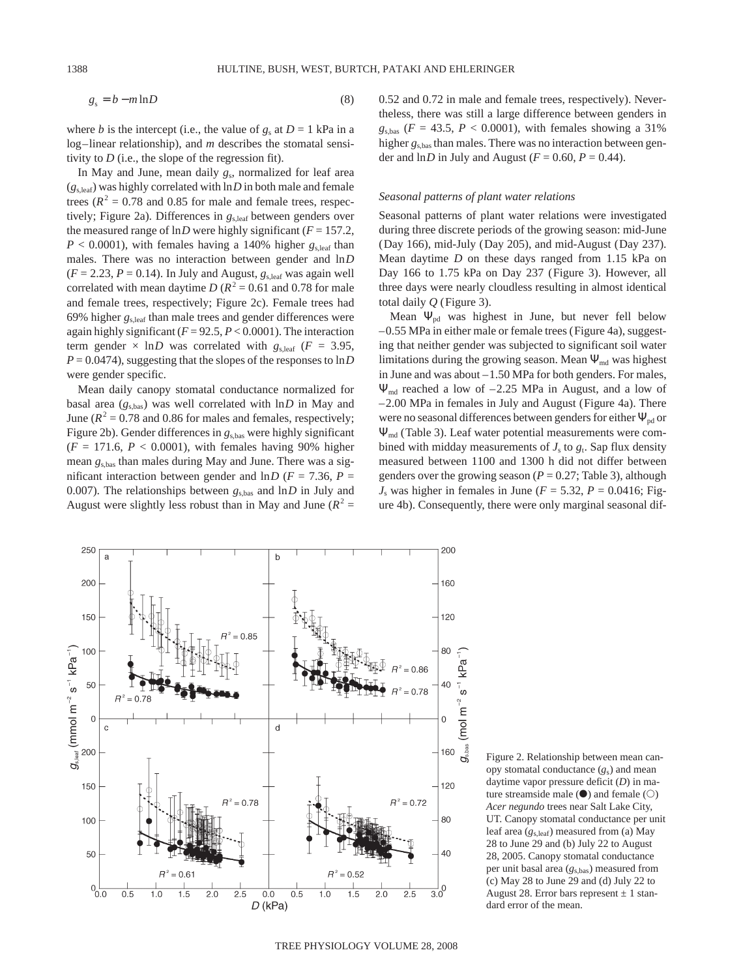$$
g_s = b - m \ln D \tag{8}
$$

where *b* is the intercept (i.e., the value of  $g_s$  at  $D = 1$  kPa in a log–linear relationship), and *m* describes the stomatal sensitivity to *D* (i.e., the slope of the regression fit).

In May and June, mean daily  $g_s$ , normalized for leaf area  $(g<sub>s,leaf</sub>)$  was highly correlated with  $\ln D$  in both male and female trees ( $R^2 = 0.78$  and 0.85 for male and female trees, respectively; Figure 2a). Differences in  $g_{s,leaf}$  between genders over the measured range of  $\ln D$  were highly significant ( $F = 157.2$ ,  $P < 0.0001$ ), with females having a 140% higher  $g_{\text{s,leaf}}$  than males. There was no interaction between gender and ln*D*  $(F = 2.23, P = 0.14)$ . In July and August,  $g_{\text{s,leaf}}$  was again well correlated with mean daytime *D* ( $R^2$  = 0.61 and 0.78 for male and female trees, respectively; Figure 2c). Female trees had 69% higher *g*s,leaf than male trees and gender differences were again highly significant (*F* = 92.5, *P* < 0.0001). The interaction term gender  $\times$  ln*D* was correlated with  $g_{s,\text{leaf}}$  ( $F = 3.95$ ,  $P = 0.0474$ , suggesting that the slopes of the responses to  $\ln D$ were gender specific.

Mean daily canopy stomatal conductance normalized for basal area  $(g_{s,bas})$  was well correlated with  $\ln D$  in May and June ( $R^2$  = 0.78 and 0.86 for males and females, respectively; Figure 2b). Gender differences in  $g_{\text{s,bas}}$  were highly significant  $(F = 171.6, P < 0.0001)$ , with females having 90% higher mean *g*s,bas than males during May and June. There was a significant interaction between gender and  $\ln D$  ( $F = 7.36$ ,  $P =$ 0.007). The relationships between  $g_{s, \text{bas}}$  and  $\ln D$  in July and August were slightly less robust than in May and June  $(R^2 =$ 



## *Seasonal patterns of plant water relations*

Seasonal patterns of plant water relations were investigated during three discrete periods of the growing season: mid-June (Day 166), mid-July (Day 205), and mid-August (Day 237). Mean daytime *D* on these days ranged from 1.15 kPa on Day 166 to 1.75 kPa on Day 237 (Figure 3). However, all three days were nearly cloudless resulting in almost identical total daily *Q* (Figure 3).

Mean  $\Psi_{pd}$  was highest in June, but never fell below –0.55 MPa in either male or female trees (Figure 4a), suggesting that neither gender was subjected to significant soil water limitations during the growing season. Mean  $\Psi_{\text{md}}$  was highest in June and was about –1.50 MPa for both genders. For males,  $\Psi_{\text{md}}$  reached a low of  $-2.25$  MPa in August, and a low of –2.00 MPa in females in July and August (Figure 4a). There were no seasonal differences between genders for either  $\Psi_{pd}$  or Ψmd (Table 3). Leaf water potential measurements were combined with midday measurements of  $J_s$  to  $g_t$ . Sap flux density measured between 1100 and 1300 h did not differ between genders over the growing season ( $P = 0.27$ ; Table 3), although  $J<sub>s</sub>$  was higher in females in June ( $F = 5.32$ ,  $P = 0.0416$ ; Figure 4b). Consequently, there were only marginal seasonal dif-



Figure 2. Relationship between mean canopy stomatal conductance (*g*s) and mean daytime vapor pressure deficit (*D*) in mature streamside male  $(\bullet)$  and female  $(\circ)$ *Acer negundo* trees near Salt Lake City, UT. Canopy stomatal conductance per unit leaf area (*g*s,leaf) measured from (a) May 28 to June 29 and (b) July 22 to August 28, 2005. Canopy stomatal conductance per unit basal area ( $g<sub>s,bas</sub>$ ) measured from (c) May 28 to June 29 and (d) July 22 to August 28. Error bars represent  $\pm$  1 standard error of the mean.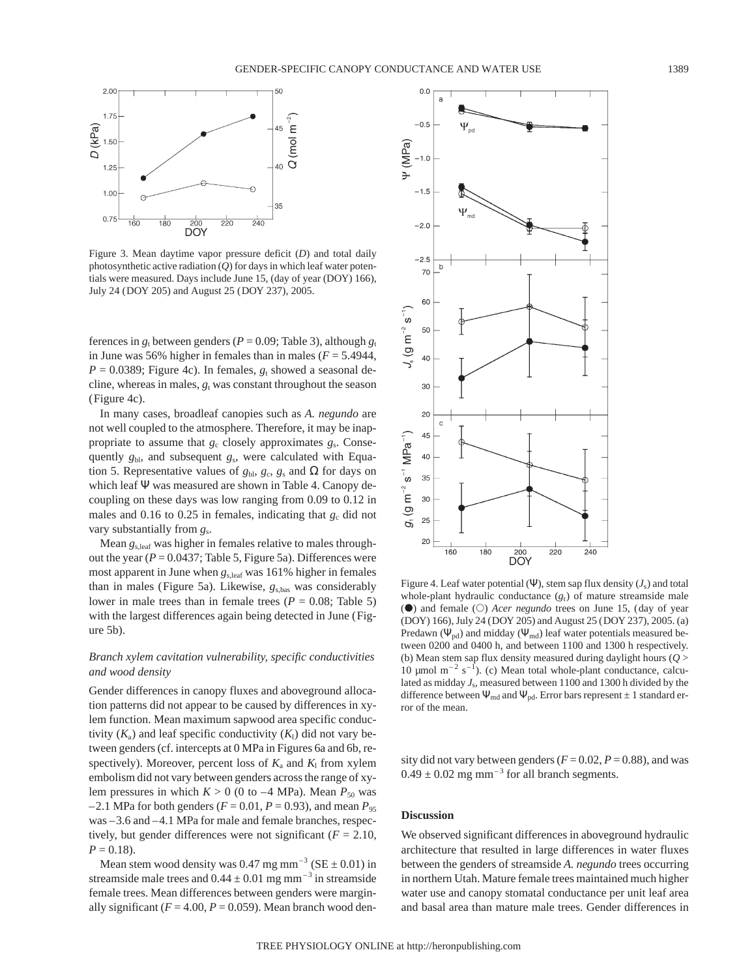

Figure 3. Mean daytime vapor pressure deficit (*D*) and total daily photosynthetic active radiation (*Q*) for days in which leaf water potentials were measured. Days include June 15, (day of year (DOY) 166), July 24 (DOY 205) and August 25 (DOY 237), 2005.

ferences in  $g_t$  between genders ( $P = 0.09$ ; Table 3), although  $g_t$ in June was 56% higher in females than in males  $(F = 5.4944,$  $P = 0.0389$ ; Figure 4c). In females,  $g_t$  showed a seasonal decline, whereas in males,  $g_t$  was constant throughout the season (Figure 4c).

In many cases, broadleaf canopies such as *A. negundo* are not well coupled to the atmosphere. Therefore, it may be inappropriate to assume that  $g_c$  closely approximates  $g_s$ . Consequently *g*bl, and subsequent *g*s, were calculated with Equation 5. Representative values of  $g_{\text{bb}}$ ,  $g_{\text{c}}$ ,  $g_{\text{s}}$  and  $\Omega$  for days on which leaf Ψ was measured are shown in Table 4. Canopy decoupling on these days was low ranging from 0.09 to 0.12 in males and  $0.16$  to  $0.25$  in females, indicating that  $g_c$  did not vary substantially from *g*s.

Mean *g*s,leaf was higher in females relative to males throughout the year  $(P = 0.0437;$  Table 5, Figure 5a). Differences were most apparent in June when *g*s,leaf was 161% higher in females than in males (Figure 5a). Likewise, *g*s,bas was considerably lower in male trees than in female trees ( $P = 0.08$ ; Table 5) with the largest differences again being detected in June (Figure 5b).

# *Branch xylem cavitation vulnerability, specific conductivities and wood density*

Gender differences in canopy fluxes and aboveground allocation patterns did not appear to be caused by differences in xylem function. Mean maximum sapwood area specific conductivity  $(K_a)$  and leaf specific conductivity  $(K_1)$  did not vary between genders (cf. intercepts at 0 MPa in Figures 6a and 6b, respectively). Moreover, percent loss of  $K_a$  and  $K_l$  from xylem embolism did not vary between genders across the range of xylem pressures in which  $K > 0$  (0 to –4 MPa). Mean  $P_{50}$  was  $-2.1$  MPa for both genders ( $F = 0.01$ ,  $P = 0.93$ ), and mean  $P_{95}$ was –3.6 and –4.1 MPa for male and female branches, respectively, but gender differences were not significant  $(F = 2.10,$  $P = 0.18$ .

Mean stem wood density was 0.47 mg mm<sup>-3</sup> (SE  $\pm$  0.01) in streamside male trees and  $0.44 \pm 0.01$  mg mm<sup>-3</sup> in streamside female trees. Mean differences between genders were marginally significant  $(F = 4.00, P = 0.059)$ . Mean branch wood den-



Figure 4. Leaf water potential (Ψ), stem sap flux density  $(J_s)$  and total whole-plant hydraulic conductance  $(g_t)$  of mature streamside male (**O**) and female (O) *Acer negundo* trees on June 15, (day of year (DOY) 166), July 24 (DOY 205) and August 25 (DOY 237), 2005. (a) Predawn ( $\Psi_{\text{pd}}$ ) and midday ( $\Psi_{\text{md}}$ ) leaf water potentials measured between 0200 and 0400 h, and between 1100 and 1300 h respectively. (b) Mean stem sap flux density measured during daylight hours (*Q* > 10  $\mu$ mol m<sup>-2</sup> s<sup>-1</sup>). (c) Mean total whole-plant conductance, calculated as midday *J*s, measured between 1100 and 1300 h divided by the difference between  $\Psi_{\text{md}}$  and  $\Psi_{\text{pd}}$ . Error bars represent  $\pm 1$  standard error of the mean.

sity did not vary between genders ( $F = 0.02$ ,  $P = 0.88$ ), and was  $0.49 \pm 0.02$  mg mm<sup>-3</sup> for all branch segments.

## **Discussion**

We observed significant differences in aboveground hydraulic architecture that resulted in large differences in water fluxes between the genders of streamside *A. negundo* trees occurring in northern Utah. Mature female trees maintained much higher water use and canopy stomatal conductance per unit leaf area and basal area than mature male trees. Gender differences in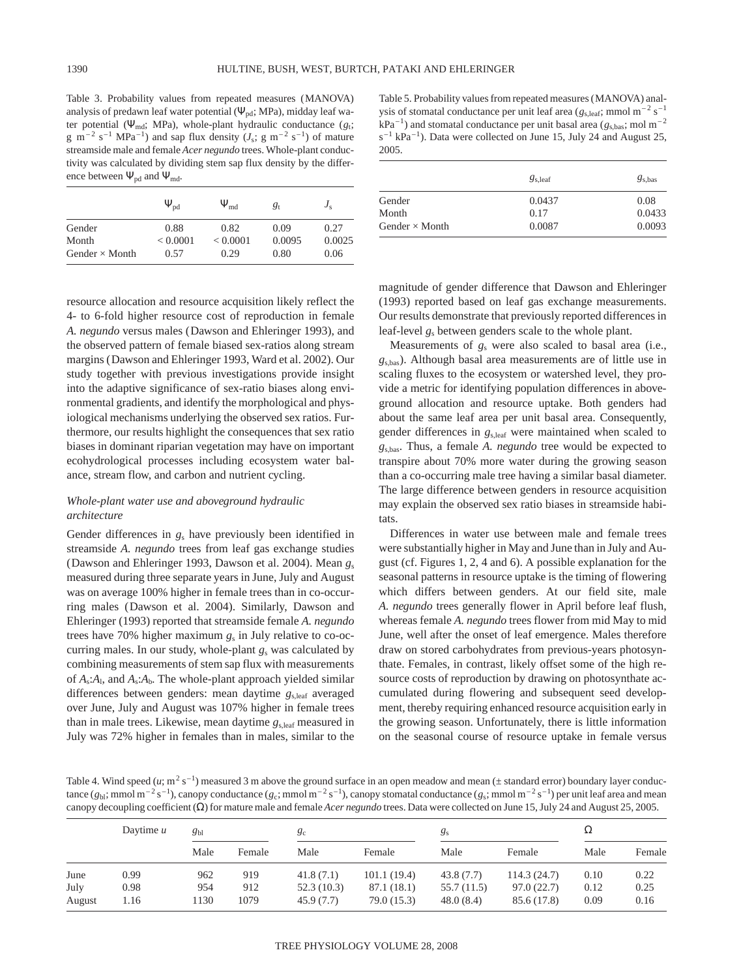Table 3. Probability values from repeated measures (MANOVA) analysis of predawn leaf water potential ( $\Psi_{pd}$ ; MPa), midday leaf water potential (Ψ<sub>md</sub>; MPa), whole-plant hydraulic conductance ( $g_t$ ; g m<sup>-2</sup> s<sup>-1</sup> MPa<sup>-1</sup>) and sap flux density ( $J_s$ ; g m<sup>-2</sup> s<sup>-1</sup>) of mature streamside male and female *Acer negundo* trees. Whole-plant conductivity was calculated by dividing stem sap flux density by the difference between  $\Psi_{pd}$  and  $\Psi_{md}$ .

|                                | $\Psi_{\rm pd}$  | $\Psi_{\sf md}$  | $g_{t}$        | $J_{\rm s}$    |
|--------------------------------|------------------|------------------|----------------|----------------|
| Gender                         | 0.88             | 0.82             | 0.09           | 0.27           |
| Month<br>Gender $\times$ Month | < 0.0001<br>0.57 | < 0.0001<br>0.29 | 0.0095<br>0.80 | 0.0025<br>0.06 |

resource allocation and resource acquisition likely reflect the 4- to 6-fold higher resource cost of reproduction in female *A. negundo* versus males (Dawson and Ehleringer 1993), and the observed pattern of female biased sex-ratios along stream margins (Dawson and Ehleringer 1993, Ward et al. 2002). Our study together with previous investigations provide insight into the adaptive significance of sex-ratio biases along environmental gradients, and identify the morphological and physiological mechanisms underlying the observed sex ratios. Furthermore, our results highlight the consequences that sex ratio biases in dominant riparian vegetation may have on important ecohydrological processes including ecosystem water balance, stream flow, and carbon and nutrient cycling.

# *Whole-plant water use and aboveground hydraulic architecture*

Gender differences in  $g_s$  have previously been identified in streamside *A. negundo* trees from leaf gas exchange studies (Dawson and Ehleringer 1993, Dawson et al. 2004). Mean *g*<sup>s</sup> measured during three separate years in June, July and August was on average 100% higher in female trees than in co-occurring males (Dawson et al. 2004). Similarly, Dawson and Ehleringer (1993) reported that streamside female *A. negundo* trees have 70% higher maximum *g*<sup>s</sup> in July relative to co-occurring males. In our study, whole-plant *g*<sup>s</sup> was calculated by combining measurements of stem sap flux with measurements of  $A_s$ : $A_l$ , and  $A_s$ : $A_b$ . The whole-plant approach yielded similar differences between genders: mean daytime *g*s,leaf averaged over June, July and August was 107% higher in female trees than in male trees. Likewise, mean daytime *g*s,leaf measured in July was 72% higher in females than in males, similar to the

Table 5. Probability values from repeated measures (MANOVA) analysis of stomatal conductance per unit leaf area ( $g_{s, \text{leaf}}$ ; mmol m<sup>-2</sup> s<sup>-1</sup>  $kPa^{-1}$ ) and stomatal conductance per unit basal area ( $g<sub>s, bas</sub>$ ; mol m<sup>-2</sup>  $s^{-1}$  kPa<sup>-1</sup>). Data were collected on June 15, July 24 and August 25, 2005.

|                       | $g_{s, \text{leaf}}$ | $g_{\rm s, bas}$ |
|-----------------------|----------------------|------------------|
| Gender                | 0.0437               | 0.08             |
| Month                 | 0.17                 | 0.0433           |
| Gender $\times$ Month | 0.0087               | 0.0093           |

magnitude of gender difference that Dawson and Ehleringer (1993) reported based on leaf gas exchange measurements. Our results demonstrate that previously reported differences in leaf-level *g*<sup>s</sup> between genders scale to the whole plant.

Measurements of *g*<sup>s</sup> were also scaled to basal area (i.e., *g*s,bas). Although basal area measurements are of little use in scaling fluxes to the ecosystem or watershed level, they provide a metric for identifying population differences in aboveground allocation and resource uptake. Both genders had about the same leaf area per unit basal area. Consequently, gender differences in *g*s,leaf were maintained when scaled to *g*s,bas. Thus, a female *A. negundo* tree would be expected to transpire about 70% more water during the growing season than a co-occurring male tree having a similar basal diameter. The large difference between genders in resource acquisition may explain the observed sex ratio biases in streamside habitats.

Differences in water use between male and female trees were substantially higher in May and June than in July and August (cf. Figures 1, 2, 4 and 6). A possible explanation for the seasonal patterns in resource uptake is the timing of flowering which differs between genders. At our field site, male *A. negundo* trees generally flower in April before leaf flush, whereas female *A. negundo* trees flower from mid May to mid June, well after the onset of leaf emergence. Males therefore draw on stored carbohydrates from previous-years photosynthate. Females, in contrast, likely offset some of the high resource costs of reproduction by drawing on photosynthate accumulated during flowering and subsequent seed development, thereby requiring enhanced resource acquisition early in the growing season. Unfortunately, there is little information on the seasonal course of resource uptake in female versus

Table 4. Wind speed  $(u; m^2 s^{-1})$  measured 3 m above the ground surface in an open meadow and mean ( $\pm$  standard error) boundary layer conductance  $(g_{b}$ ; mmol m<sup>-2</sup> s<sup>-1</sup>), canopy conductance  $(g_c$ ; mmol m<sup>-2</sup> s<sup>-1</sup>), canopy stomatal conductance  $(g_s$ ; mmol m<sup>-2</sup> s<sup>-1</sup>) per unit leaf area and mean canopy decoupling coefficient (Ω) for mature male and female *Acer negundo* trees. Data were collected on June 15, July 24 and August 25, 2005.

|        | Daytime $u$ | $g_{bl}$ |        | gc         |             | gs          |             | 12   |        |
|--------|-------------|----------|--------|------------|-------------|-------------|-------------|------|--------|
|        |             | Male     | Female | Male       | Female      | Male        | Female      | Male | Female |
| June   | 0.99        | 962      | 919    | 41.8(7.1)  | 101.1(19.4) | 43.8(7.7)   | 114.3(24.7) | 0.10 | 0.22   |
| July   | 0.98        | 954      | 912    | 52.3(10.3) | 87.1 (18.1) | 55.7 (11.5) | 97.0(22.7)  | 0.12 | 0.25   |
| August | 1.16        | 1130     | 1079   | 45.9(7.7)  | 79.0 (15.3) | 48.0(8.4)   | 85.6 (17.8) | 0.09 | 0.16   |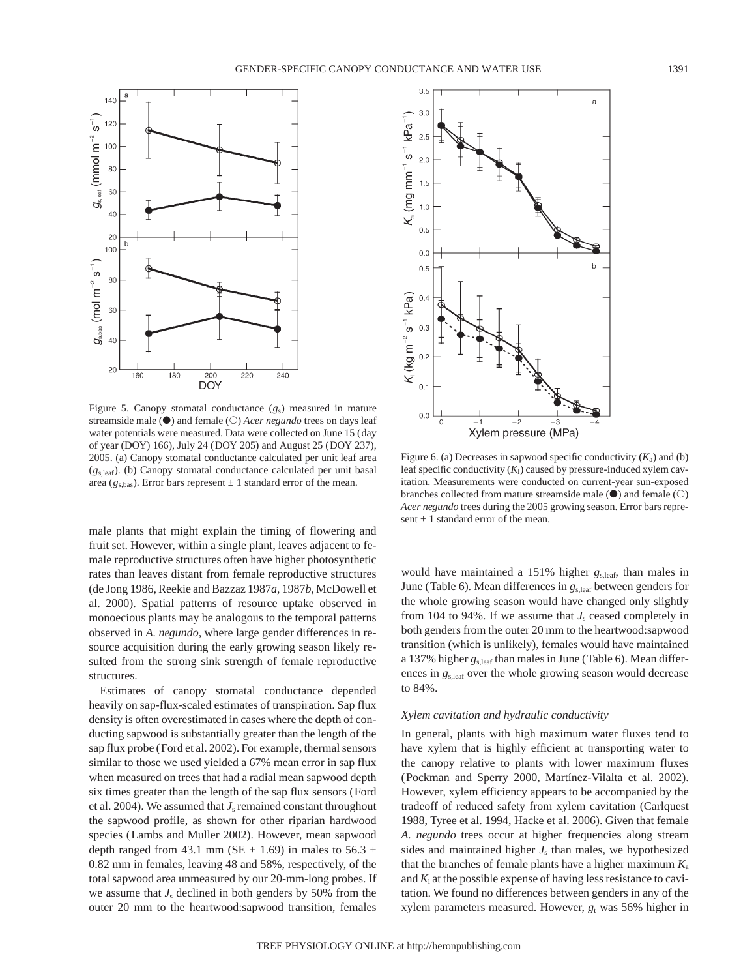

Figure 5. Canopy stomatal conductance (*g*s) measured in mature streamside male ( $\bullet$ ) and female ( $\circ$ ) *Acer negundo* trees on days leaf water potentials were measured. Data were collected on June 15 (day of year (DOY) 166), July 24 (DOY 205) and August 25 (DOY 237), 2005. (a) Canopy stomatal conductance calculated per unit leaf area (*g*s,leaf). (b) Canopy stomatal conductance calculated per unit basal area ( $g_{s,bas}$ ). Error bars represent  $\pm 1$  standard error of the mean.

male plants that might explain the timing of flowering and fruit set. However, within a single plant, leaves adjacent to female reproductive structures often have higher photosynthetic rates than leaves distant from female reproductive structures (de Jong 1986, Reekie and Bazzaz 1987*a*, 1987*b*, McDowell et al. 2000). Spatial patterns of resource uptake observed in monoecious plants may be analogous to the temporal patterns observed in *A. negundo*, where large gender differences in resource acquisition during the early growing season likely resulted from the strong sink strength of female reproductive structures.

Estimates of canopy stomatal conductance depended heavily on sap-flux-scaled estimates of transpiration. Sap flux density is often overestimated in cases where the depth of conducting sapwood is substantially greater than the length of the sap flux probe (Ford et al. 2002). For example, thermal sensors similar to those we used yielded a 67% mean error in sap flux when measured on trees that had a radial mean sapwood depth six times greater than the length of the sap flux sensors (Ford et al. 2004). We assumed that  $J_s$  remained constant throughout the sapwood profile, as shown for other riparian hardwood species (Lambs and Muller 2002). However, mean sapwood depth ranged from 43.1 mm (SE  $\pm$  1.69) in males to 56.3  $\pm$ 0.82 mm in females, leaving 48 and 58%, respectively, of the total sapwood area unmeasured by our 20-mm-long probes. If we assume that  $J_s$  declined in both genders by 50% from the outer 20 mm to the heartwood:sapwood transition, females



Figure 6. (a) Decreases in sapwood specific conductivity  $(K_a)$  and (b) leaf specific conductivity  $(K_1)$  caused by pressure-induced xylem cavitation. Measurements were conducted on current-year sun-exposed branches collected from mature streamside male  $(\bullet)$  and female  $(\circ)$ *Acer negundo* trees during the 2005 growing season. Error bars represent  $\pm 1$  standard error of the mean.

would have maintained a 151% higher *g*s,leaf, than males in June (Table 6). Mean differences in  $g_{s,\text{leaf}}$  between genders for the whole growing season would have changed only slightly from 104 to 94%. If we assume that  $J_s$  ceased completely in both genders from the outer 20 mm to the heartwood:sapwood transition (which is unlikely), females would have maintained a 137% higher *g*s,leaf than males in June (Table 6). Mean differences in *g*s,leaf over the whole growing season would decrease to 84%.

# *Xylem cavitation and hydraulic conductivity*

In general, plants with high maximum water fluxes tend to have xylem that is highly efficient at transporting water to the canopy relative to plants with lower maximum fluxes (Pockman and Sperry 2000, Martínez-Vilalta et al. 2002). However, xylem efficiency appears to be accompanied by the tradeoff of reduced safety from xylem cavitation (Carlquest 1988, Tyree et al. 1994, Hacke et al. 2006). Given that female *A. negundo* trees occur at higher frequencies along stream sides and maintained higher  $J<sub>s</sub>$  than males, we hypothesized that the branches of female plants have a higher maximum *K*<sup>a</sup> and  $K<sub>l</sub>$  at the possible expense of having less resistance to cavitation. We found no differences between genders in any of the xylem parameters measured. However,  $g_t$  was 56% higher in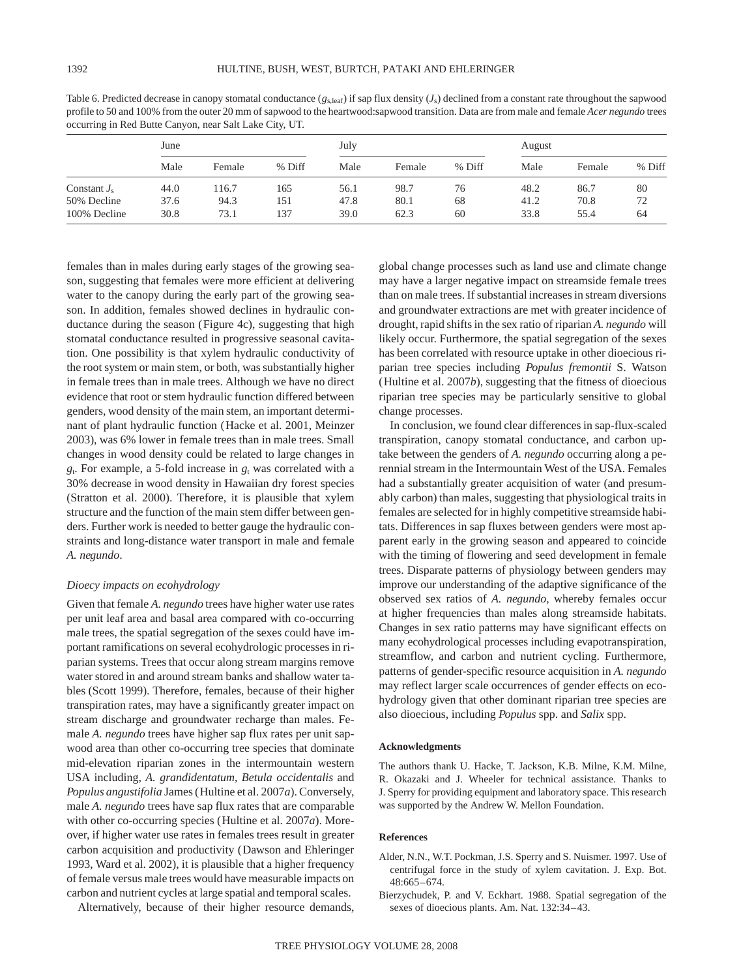| Table 6. Predicted decrease in canopy stomatal conductance $(g_{s,leaf})$ if sap flux density $(J_s)$ declined from a constant rate throughout the sapwood |
|------------------------------------------------------------------------------------------------------------------------------------------------------------|
| profile to 50 and 100% from the outer 20 mm of sapwood to the heartwood: sapwood transition. Data are from male and female Acer negundo trees              |
| occurring in Red Butte Canyon, near Salt Lake City, UT.                                                                                                    |

|                | June |        |        | July |        |        | August |        |        |
|----------------|------|--------|--------|------|--------|--------|--------|--------|--------|
|                | Male | Female | % Diff | Male | Female | % Diff | Male   | Female | % Diff |
| Constant $J_s$ | 44.0 | 116.7  | 165    | 56.1 | 98.7   | 76     | 48.2   | 86.7   | 80     |
| 50% Decline    | 37.6 | 94.3   | 151    | 47.8 | 80.1   | 68     | 41.2   | 70.8   | 72     |
| 100% Decline   | 30.8 | 73.1   | 137    | 39.0 | 62.3   | 60     | 33.8   | 55.4   | 64     |

females than in males during early stages of the growing season, suggesting that females were more efficient at delivering water to the canopy during the early part of the growing season. In addition, females showed declines in hydraulic conductance during the season (Figure 4c), suggesting that high stomatal conductance resulted in progressive seasonal cavitation. One possibility is that xylem hydraulic conductivity of the root system or main stem, or both, was substantially higher in female trees than in male trees. Although we have no direct evidence that root or stem hydraulic function differed between genders, wood density of the main stem, an important determinant of plant hydraulic function (Hacke et al. 2001, Meinzer 2003), was 6% lower in female trees than in male trees. Small changes in wood density could be related to large changes in *g*t. For example, a 5-fold increase in *g*<sup>t</sup> was correlated with a 30% decrease in wood density in Hawaiian dry forest species (Stratton et al. 2000). Therefore, it is plausible that xylem structure and the function of the main stem differ between genders. Further work is needed to better gauge the hydraulic constraints and long-distance water transport in male and female *A. negundo*.

## *Dioecy impacts on ecohydrology*

Given that female *A. negundo* trees have higher water use rates per unit leaf area and basal area compared with co-occurring male trees, the spatial segregation of the sexes could have important ramifications on several ecohydrologic processes in riparian systems. Trees that occur along stream margins remove water stored in and around stream banks and shallow water tables (Scott 1999). Therefore, females, because of their higher transpiration rates, may have a significantly greater impact on stream discharge and groundwater recharge than males. Female *A. negundo* trees have higher sap flux rates per unit sapwood area than other co-occurring tree species that dominate mid-elevation riparian zones in the intermountain western USA including, *A. grandidentatum*, *Betula occidentalis* and *Populus angustifolia* James (Hultine et al. 2007*a*). Conversely, male *A. negundo* trees have sap flux rates that are comparable with other co-occurring species (Hultine et al. 2007*a*). Moreover, if higher water use rates in females trees result in greater carbon acquisition and productivity (Dawson and Ehleringer 1993, Ward et al. 2002), it is plausible that a higher frequency of female versus male trees would have measurable impacts on carbon and nutrient cycles at large spatial and temporal scales.

Alternatively, because of their higher resource demands,

global change processes such as land use and climate change may have a larger negative impact on streamside female trees than on male trees. If substantial increases in stream diversions and groundwater extractions are met with greater incidence of drought, rapid shifts in the sex ratio of riparian *A. negundo* will likely occur. Furthermore, the spatial segregation of the sexes has been correlated with resource uptake in other dioecious riparian tree species including *Populus fremontii* S. Watson (Hultine et al. 2007*b*), suggesting that the fitness of dioecious riparian tree species may be particularly sensitive to global change processes.

In conclusion, we found clear differences in sap-flux-scaled transpiration, canopy stomatal conductance, and carbon uptake between the genders of *A. negundo* occurring along a perennial stream in the Intermountain West of the USA. Females had a substantially greater acquisition of water (and presumably carbon) than males, suggesting that physiological traits in females are selected for in highly competitive streamside habitats. Differences in sap fluxes between genders were most apparent early in the growing season and appeared to coincide with the timing of flowering and seed development in female trees. Disparate patterns of physiology between genders may improve our understanding of the adaptive significance of the observed sex ratios of *A. negundo*, whereby females occur at higher frequencies than males along streamside habitats. Changes in sex ratio patterns may have significant effects on many ecohydrological processes including evapotranspiration, streamflow, and carbon and nutrient cycling. Furthermore, patterns of gender-specific resource acquisition in *A. negundo* may reflect larger scale occurrences of gender effects on ecohydrology given that other dominant riparian tree species are also dioecious, including *Populus* spp. and *Salix* spp.

#### **Acknowledgments**

The authors thank U. Hacke, T. Jackson, K.B. Milne, K.M. Milne, R. Okazaki and J. Wheeler for technical assistance. Thanks to J. Sperry for providing equipment and laboratory space. This research was supported by the Andrew W. Mellon Foundation.

## **References**

- Alder, N.N., W.T. Pockman, J.S. Sperry and S. Nuismer. 1997. Use of centrifugal force in the study of xylem cavitation. J. Exp. Bot. 48:665–674.
- Bierzychudek, P. and V. Eckhart. 1988. Spatial segregation of the sexes of dioecious plants. Am. Nat. 132:34–43.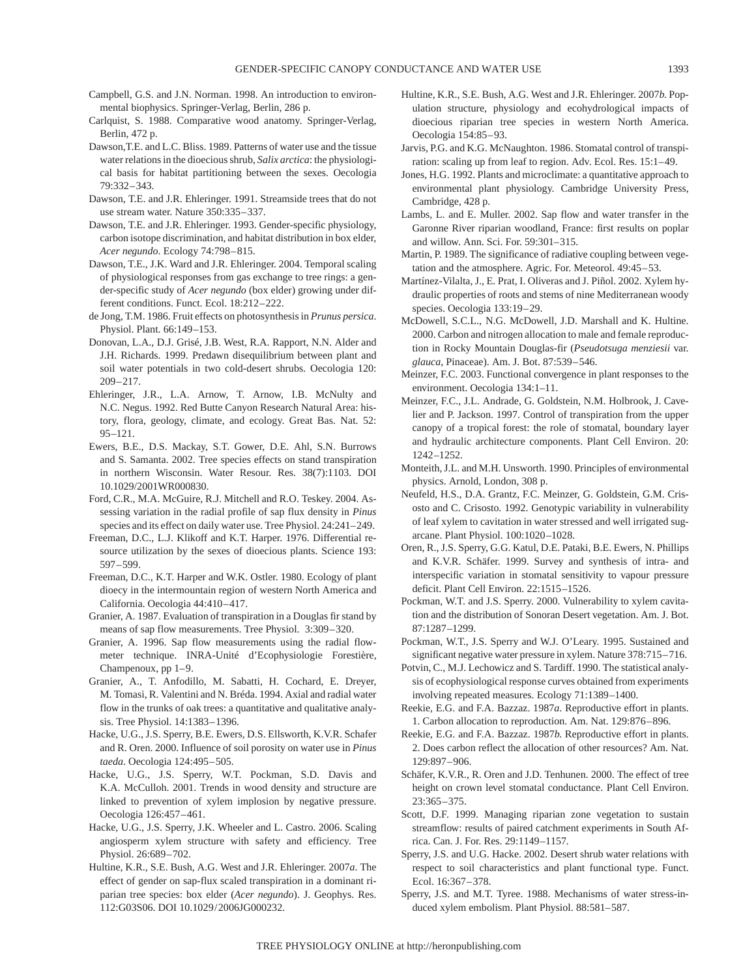- Campbell, G.S. and J.N. Norman. 1998. An introduction to environmental biophysics. Springer-Verlag, Berlin, 286 p.
- Carlquist, S. 1988. Comparative wood anatomy. Springer-Verlag, Berlin, 472 p.
- Dawson,T.E. and L.C. Bliss. 1989. Patterns of water use and the tissue water relations in the dioecious shrub, *Salix arctica*: the physiological basis for habitat partitioning between the sexes. Oecologia 79:332–343.
- Dawson, T.E. and J.R. Ehleringer. 1991. Streamside trees that do not use stream water. Nature 350:335–337.
- Dawson, T.E. and J.R. Ehleringer. 1993. Gender-specific physiology, carbon isotope discrimination, and habitat distribution in box elder, *Acer negundo*. Ecology 74:798–815.
- Dawson, T.E., J.K. Ward and J.R. Ehleringer. 2004. Temporal scaling of physiological responses from gas exchange to tree rings: a gender-specific study of *Acer negundo* (box elder) growing under different conditions. Funct. Ecol. 18:212–222.
- de Jong, T.M. 1986. Fruit effects on photosynthesis in *Prunus persica*. Physiol. Plant. 66:149–153.
- Donovan, L.A., D.J. Grisé, J.B. West, R.A. Rapport, N.N. Alder and J.H. Richards. 1999. Predawn disequilibrium between plant and soil water potentials in two cold-desert shrubs. Oecologia 120: 209–217.
- Ehleringer, J.R., L.A. Arnow, T. Arnow, I.B. McNulty and N.C. Negus. 1992. Red Butte Canyon Research Natural Area: history, flora, geology, climate, and ecology. Great Bas. Nat. 52: 95–121.
- Ewers, B.E., D.S. Mackay, S.T. Gower, D.E. Ahl, S.N. Burrows and S. Samanta. 2002. Tree species effects on stand transpiration in northern Wisconsin. Water Resour. Res. 38(7):1103. DOI 10.1029/2001WR000830.
- Ford, C.R., M.A. McGuire, R.J. Mitchell and R.O. Teskey. 2004. Assessing variation in the radial profile of sap flux density in *Pinus* species and its effect on daily water use. Tree Physiol. 24:241–249.
- Freeman, D.C., L.J. Klikoff and K.T. Harper. 1976. Differential resource utilization by the sexes of dioecious plants. Science 193: 597–599.
- Freeman, D.C., K.T. Harper and W.K. Ostler. 1980. Ecology of plant dioecy in the intermountain region of western North America and California. Oecologia 44:410–417.
- Granier, A. 1987. Evaluation of transpiration in a Douglas fir stand by means of sap flow measurements. Tree Physiol. 3:309–320.
- Granier, A. 1996. Sap flow measurements using the radial flowmeter technique. INRA-Unité d'Ecophysiologie Forestière, Champenoux, pp 1–9.
- Granier, A., T. Anfodillo, M. Sabatti, H. Cochard, E. Dreyer, M. Tomasi, R. Valentini and N. Bréda. 1994. Axial and radial water flow in the trunks of oak trees: a quantitative and qualitative analysis. Tree Physiol. 14:1383–1396.
- Hacke, U.G., J.S. Sperry, B.E. Ewers, D.S. Ellsworth, K.V.R. Schafer and R. Oren. 2000. Influence of soil porosity on water use in *Pinus taeda*. Oecologia 124:495–505.
- Hacke, U.G., J.S. Sperry, W.T. Pockman, S.D. Davis and K.A. McCulloh. 2001. Trends in wood density and structure are linked to prevention of xylem implosion by negative pressure. Oecologia 126:457–461.
- Hacke, U.G., J.S. Sperry, J.K. Wheeler and L. Castro. 2006. Scaling angiosperm xylem structure with safety and efficiency. Tree Physiol. 26:689–702.
- Hultine, K.R., S.E. Bush, A.G. West and J.R. Ehleringer. 2007*a*. The effect of gender on sap-flux scaled transpiration in a dominant riparian tree species: box elder (*Acer negundo*). J. Geophys. Res. 112:G03S06. DOI 10.1029/2006JG000232.
- Hultine, K.R., S.E. Bush, A.G. West and J.R. Ehleringer. 2007*b*. Population structure, physiology and ecohydrological impacts of dioecious riparian tree species in western North America. Oecologia 154:85–93.
- Jarvis, P.G. and K.G. McNaughton. 1986. Stomatal control of transpiration: scaling up from leaf to region. Adv. Ecol. Res. 15:1–49.
- Jones, H.G. 1992. Plants and microclimate: a quantitative approach to environmental plant physiology. Cambridge University Press, Cambridge, 428 p.
- Lambs, L. and E. Muller. 2002. Sap flow and water transfer in the Garonne River riparian woodland, France: first results on poplar and willow. Ann. Sci. For. 59:301–315.
- Martin, P. 1989. The significance of radiative coupling between vegetation and the atmosphere. Agric. For. Meteorol. 49:45–53.
- Martínez-Vilalta, J., E. Prat, I. Oliveras and J. Piñol. 2002. Xylem hydraulic properties of roots and stems of nine Mediterranean woody species. Oecologia 133:19–29.
- McDowell, S.C.L., N.G. McDowell, J.D. Marshall and K. Hultine. 2000. Carbon and nitrogen allocation to male and female reproduction in Rocky Mountain Douglas-fir (*Pseudotsuga menziesii* var. *glauca*, Pinaceae). Am. J. Bot. 87:539–546.
- Meinzer, F.C. 2003. Functional convergence in plant responses to the environment. Oecologia 134:1–11.
- Meinzer, F.C., J.L. Andrade, G. Goldstein, N.M. Holbrook, J. Cavelier and P. Jackson. 1997. Control of transpiration from the upper canopy of a tropical forest: the role of stomatal, boundary layer and hydraulic architecture components. Plant Cell Environ. 20: 1242–1252.
- Monteith, J.L. and M.H. Unsworth. 1990. Principles of environmental physics. Arnold, London, 308 p.
- Neufeld, H.S., D.A. Grantz, F.C. Meinzer, G. Goldstein, G.M. Crisosto and C. Crisosto. 1992. Genotypic variability in vulnerability of leaf xylem to cavitation in water stressed and well irrigated sugarcane. Plant Physiol. 100:1020–1028.
- Oren, R., J.S. Sperry, G.G. Katul, D.E. Pataki, B.E. Ewers, N. Phillips and K.V.R. Schäfer. 1999. Survey and synthesis of intra- and interspecific variation in stomatal sensitivity to vapour pressure deficit. Plant Cell Environ. 22:1515–1526.
- Pockman, W.T. and J.S. Sperry. 2000. Vulnerability to xylem cavitation and the distribution of Sonoran Desert vegetation. Am. J. Bot. 87:1287–1299.
- Pockman, W.T., J.S. Sperry and W.J. O'Leary. 1995. Sustained and significant negative water pressure in xylem. Nature 378:715–716.
- Potvin, C., M.J. Lechowicz and S. Tardiff. 1990. The statistical analysis of ecophysiological response curves obtained from experiments involving repeated measures. Ecology 71:1389–1400.
- Reekie, E.G. and F.A. Bazzaz. 1987*a*. Reproductive effort in plants. 1. Carbon allocation to reproduction. Am. Nat. 129:876–896.
- Reekie, E.G. and F.A. Bazzaz. 1987*b*. Reproductive effort in plants. 2. Does carbon reflect the allocation of other resources? Am. Nat. 129:897–906.
- Schäfer, K.V.R., R. Oren and J.D. Tenhunen. 2000. The effect of tree height on crown level stomatal conductance. Plant Cell Environ. 23:365–375.
- Scott, D.F. 1999. Managing riparian zone vegetation to sustain streamflow: results of paired catchment experiments in South Africa. Can. J. For. Res. 29:1149–1157*.*
- Sperry, J.S. and U.G. Hacke. 2002. Desert shrub water relations with respect to soil characteristics and plant functional type. Funct. Ecol. 16:367–378.
- Sperry, J.S. and M.T. Tyree. 1988. Mechanisms of water stress-induced xylem embolism. Plant Physiol. 88:581–587.